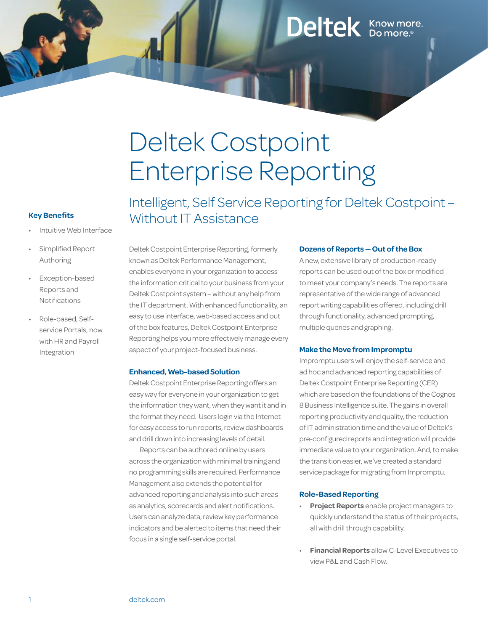## Deltek Know more.

# Deltek Costpoint Enterprise Reporting

#### **Key Benefits**

- Intuitive Web Interface
- Simplified Report Authoring
- **Exception-based** Reports and Notifications
- Role-based, Selfservice Portals, now with HR and Payroll Integration

Intelligent, Self Service Reporting for Deltek Costpoint – Without IT Assistance

Deltek Costpoint Enterprise Reporting, formerly known as Deltek Performance Management, enables everyone in your organization to access the information critical to your business from your Deltek Costpoint system – without any help from the IT department. With enhanced functionality, an easy to use interface,web-based access and out of the box features, Deltek Costpoint Enterprise Reporting helps you more effectively manage every aspect of your project-focused business.

#### **Enhanced, Web-based Solution**

DeltekCostpoint Enterprise Reporting offers an easyway for everyone in your organization to get the information they want, when they want it and in the format they need. Users login via the Internet for easy access to run reports, review dashboards and drill down into increasing levels of detail.

Reports can be authored online by users across the organization with minimal training and no programming skills are required. Performance Management also extends the potential for advanced reporting and analysis into such areas as analytics, scorecards and alert notifications. Users can analyze data, review key performance indicators and be alerted to items that need their focus in a single self-service portal.

#### **Dozens of Reports — Out of the Box**

Anew, extensive library of production-ready reports can be used out of the box or modified to meet your company's needs. The reports are representative of the wide range of advanced report writing capabilities offered, including drill through functionality, advanced prompting, multiple queries and graphing.

#### **Make the Move from Impromptu**

Impromptu userswill enjoy the self-service and ad hoc and advanced reporting capabilities of Deltek Costpoint Enterprise Reporting (CER) which are based on the foundations of the Cognos 8Business Intelligence suite. The gains in overall reporting productivity and quality, the reduction of IT administration time and the value of Deltek's pre-configured reports and integration will provide immediate value to your organization. And, to make the transition easier, we've created a standard service package for migrating from Impromptu.

#### **Role-Based Reporting**

- **Project Reports** enable project managers to quickly understand the status of their projects, all with drill through capability.
- **Financial Reports** allow C-Level Executives to view P&L and Cash Flow.